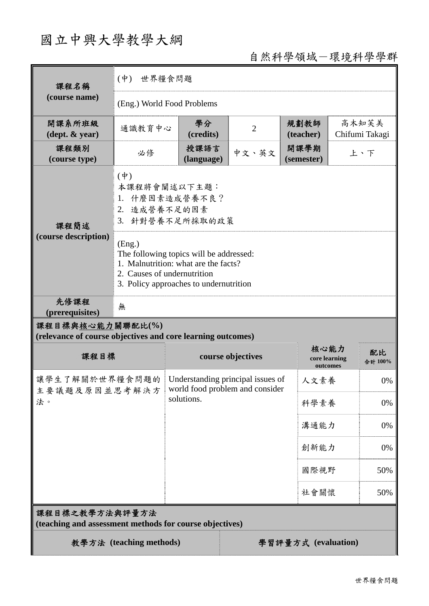# 國立中興大學教學大綱

自然科學領域-環境科學學群

| 課程名稱<br>(course name)                                                           | 世界糧食問題<br>$(\phi)$                                                                                                                                                 |                                                                                    |                |                   |                                   |                         |  |
|---------------------------------------------------------------------------------|--------------------------------------------------------------------------------------------------------------------------------------------------------------------|------------------------------------------------------------------------------------|----------------|-------------------|-----------------------------------|-------------------------|--|
|                                                                                 | (Eng.) World Food Problems                                                                                                                                         |                                                                                    |                |                   |                                   |                         |  |
| 開課系所班級<br>$(\text{dept.} \& \text{ year})$                                      | 通識教育中心                                                                                                                                                             | 學分<br>(credits)                                                                    | $\overline{2}$ | 規劃教師<br>(teacher) |                                   | 高木知芙美<br>Chifumi Takagi |  |
| 課程類別<br>(course type)                                                           | 必修                                                                                                                                                                 | 授課語言<br>(language)                                                                 | 中文、英文          |                   | 開課學期<br>上、下<br>(semester)         |                         |  |
| 課程簡述<br>(course description)                                                    | $(\dagger)$<br>本課程將會闡述以下主題:<br>1. 什麼因素造成營養不良?<br>2. 造成營養不足的因素<br>3. 針對營養不足所採取的政策                                                                                   |                                                                                    |                |                   |                                   |                         |  |
|                                                                                 | (Eng.)<br>The following topics will be addressed:<br>1. Malnutrition: what are the facts?<br>2. Causes of undernutrition<br>3. Policy approaches to undernutrition |                                                                                    |                |                   |                                   |                         |  |
| 先修課程<br>(prerequisites)                                                         | 無                                                                                                                                                                  |                                                                                    |                |                   |                                   |                         |  |
| 課程目標與核心能力關聯配比(%)<br>(relevance of course objectives and core learning outcomes) |                                                                                                                                                                    |                                                                                    |                |                   |                                   |                         |  |
| 課程目標                                                                            |                                                                                                                                                                    | course objectives                                                                  |                |                   | 核心能力<br>core learning<br>outcomes | 配比<br>合計 100%           |  |
| 讓學生了解關於世界糧食問題的<br>主要議題及原因並思考解決方<br>法。                                           |                                                                                                                                                                    | Understanding principal issues of<br>world food problem and consider<br>solutions. |                |                   | 人文素養                              | 0%                      |  |
|                                                                                 |                                                                                                                                                                    |                                                                                    |                |                   | 科學素養                              | 0%                      |  |
|                                                                                 |                                                                                                                                                                    |                                                                                    |                |                   | 溝通能力                              | 0%                      |  |
|                                                                                 |                                                                                                                                                                    |                                                                                    |                |                   | 創新能力                              | 0%                      |  |
|                                                                                 |                                                                                                                                                                    |                                                                                    |                |                   | 國際視野                              | 50%                     |  |
|                                                                                 |                                                                                                                                                                    |                                                                                    |                |                   | 社會關懷                              | 50%                     |  |
| 課程目標之教學方法與評量方法<br>(teaching and assessment methods for course objectives)       |                                                                                                                                                                    |                                                                                    |                |                   |                                   |                         |  |
| 教學方法 (teaching methods)<br>學習評量方式 (evaluation)                                  |                                                                                                                                                                    |                                                                                    |                |                   |                                   |                         |  |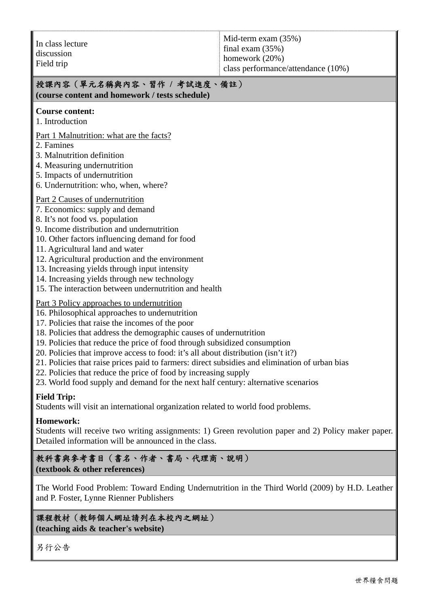### 授課內容(單元名稱與內容、習作 **/** 考試進度、備註)

**(course content and homework / tests schedule)** 

#### **Course content:**

1. Introduction

Part 1 Malnutrition: what are the facts?

- 2. Famines
- 3. Malnutrition definition
- 4. Measuring undernutrition
- 5. Impacts of undernutrition
- 6. Undernutrition: who, when, where?
- Part 2 Causes of undernutrition
- 7. Economics: supply and demand
- 8. It's not food vs. population
- 9. Income distribution and undernutrition
- 10. Other factors influencing demand for food
- 11. Agricultural land and water
- 12. Agricultural production and the environment
- 13. Increasing yields through input intensity
- 14. Increasing yields through new technology
- 15. The interaction between undernutrition and health

#### Part 3 Policy approaches to undernutrition

- 16. Philosophical approaches to undernutrition
- 17. Policies that raise the incomes of the poor
- 18. Policies that address the demographic causes of undernutrition
- 19. Policies that reduce the price of food through subsidized consumption
- 20. Policies that improve access to food: it's all about distribution (isn't it?)
- 21. Policies that raise prices paid to farmers: direct subsidies and elimination of urban bias
- 22. Policies that reduce the price of food by increasing supply
- 23. World food supply and demand for the next half century: alternative scenarios

#### **Field Trip:**

Students will visit an international organization related to world food problems.

#### **Homework:**

Students will receive two writing assignments: 1) Green revolution paper and 2) Policy maker paper. Detailed information will be announced in the class.

#### 教科書與參考書目(書名、作者、書局、代理商、說明) **(textbook & other references)**

The World Food Problem: Toward Ending Undernutrition in the Third World (2009) by H.D. Leather and P. Foster, Lynne Rienner Publishers

#### 課程教材(教師個人網址請列在本校內之網址) **(teaching aids & teacher's website)**

另行公告